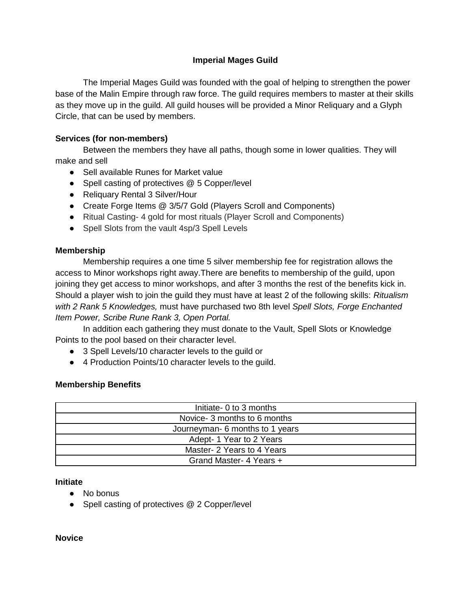# **Imperial Mages Guild**

The Imperial Mages Guild was founded with the goal of helping to strengthen the power base of the Malin Empire through raw force. The guild requires members to master at their skills as they move up in the guild. All guild houses will be provided a Minor Reliquary and a Glyph Circle, that can be used by members.

## **Services (for non-members)**

Between the members they have all paths, though some in lower qualities. They will make and sell

- Sell available Runes for Market value
- Spell casting of protectives @ 5 Copper/level
- Reliquary Rental 3 Silver/Hour
- Create Forge Items @ 3/5/7 Gold (Players Scroll and Components)
- Ritual Casting- 4 gold for most rituals (Player Scroll and Components)
- Spell Slots from the vault 4sp/3 Spell Levels

### **Membership**

Membership requires a one time 5 silver membership fee for registration allows the access to Minor workshops right away.There are benefits to membership of the guild, upon joining they get access to minor workshops, and after 3 months the rest of the benefits kick in. Should a player wish to join the guild they must have at least 2 of the following skills: *Ritualism with 2 Rank 5 Knowledges,* must have purchased two 8th level *Spell Slots, Forge Enchanted Item Power, Scribe Rune Rank 3, Open Portal.*

In addition each gathering they must donate to the Vault, Spell Slots or Knowledge Points to the pool based on their character level.

- 3 Spell Levels/10 character levels to the guild or
- 4 Production Points/10 character levels to the guild.

### **Membership Benefits**

| Initiate- 0 to 3 months         |
|---------------------------------|
| Novice- 3 months to 6 months    |
| Journeyman- 6 months to 1 years |
| Adept-1 Year to 2 Years         |
| Master- 2 Years to 4 Years      |
| Grand Master- 4 Years +         |

**Initiate** 

- No bonus
- Spell casting of protectives @ 2 Copper/level

**Novice**